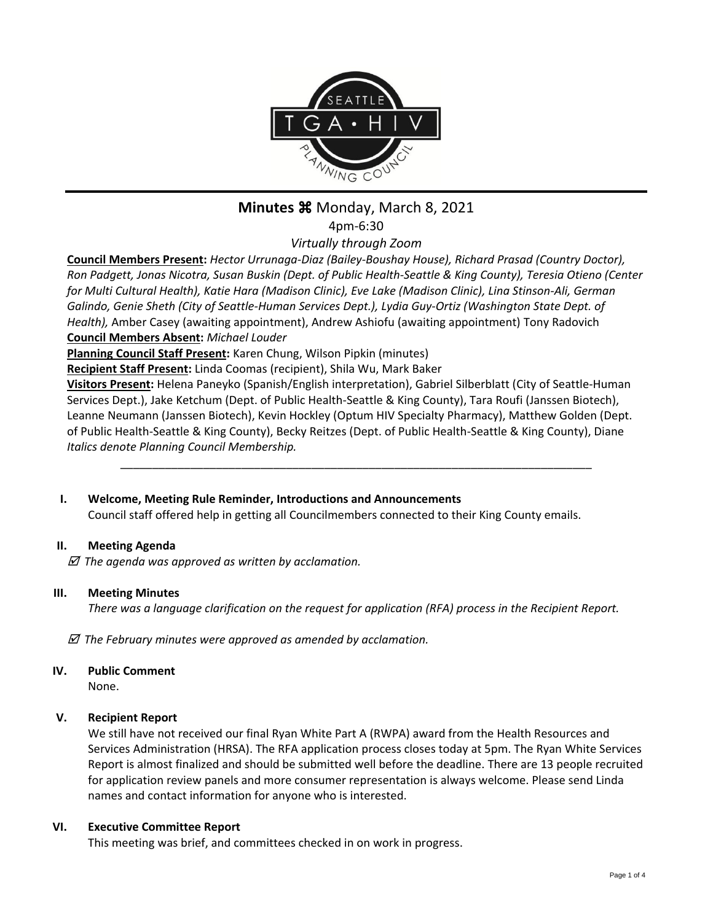

# **Minutes**  $\frac{12}{10}$  **Monday, March 8, 2021**

4pm-6:30

*Virtually through Zoom*

**Council Members Present:** *Hector Urrunaga-Diaz (Bailey-Boushay House), Richard Prasad (Country Doctor), Ron Padgett, Jonas Nicotra, Susan Buskin (Dept. of Public Health-Seattle & King County), Teresia Otieno (Center for Multi Cultural Health), Katie Hara (Madison Clinic), Eve Lake (Madison Clinic), Lina Stinson-Ali, German Galindo, Genie Sheth (City of Seattle-Human Services Dept.), Lydia Guy-Ortiz (Washington State Dept. of Health),* Amber Casey (awaiting appointment), Andrew Ashiofu (awaiting appointment) Tony Radovich **Council Members Absent:** *Michael Louder*

**Planning Council Staff Present:** Karen Chung, Wilson Pipkin (minutes)

**Recipient Staff Present:** Linda Coomas (recipient), Shila Wu, Mark Baker

**Visitors Present:** Helena Paneyko (Spanish/English interpretation), Gabriel Silberblatt (City of Seattle-Human Services Dept.), Jake Ketchum (Dept. of Public Health-Seattle & King County), Tara Roufi (Janssen Biotech), Leanne Neumann (Janssen Biotech), Kevin Hockley (Optum HIV Specialty Pharmacy), Matthew Golden (Dept. of Public Health-Seattle & King County), Becky Reitzes (Dept. of Public Health-Seattle & King County), Diane *Italics denote Planning Council Membership.* 

\_\_\_\_\_\_\_\_\_\_\_\_\_\_\_\_\_\_\_\_\_\_\_\_\_\_\_\_\_\_\_\_\_\_\_\_\_\_\_\_\_\_\_\_\_\_\_\_\_\_\_\_\_\_\_\_\_\_\_\_\_\_\_\_\_\_\_\_\_\_\_\_\_\_

# **I. Welcome, Meeting Rule Reminder, Introductions and Announcements**

Council staff offered help in getting all Councilmembers connected to their King County emails.

# **II. Meeting Agenda**

 *The agenda was approved as written by acclamation.*

#### **III. Meeting Minutes**

*There was a language clarification on the request for application (RFA) process in the Recipient Report.*

 *The February minutes were approved as amended by acclamation.*

**IV. Public Comment**

None.

# **V. Recipient Report**

We still have not received our final Ryan White Part A (RWPA) award from the Health Resources and Services Administration (HRSA). The RFA application process closes today at 5pm. The Ryan White Services Report is almost finalized and should be submitted well before the deadline. There are 13 people recruited for application review panels and more consumer representation is always welcome. Please send Linda names and contact information for anyone who is interested.

#### **VI. Executive Committee Report**

This meeting was brief, and committees checked in on work in progress.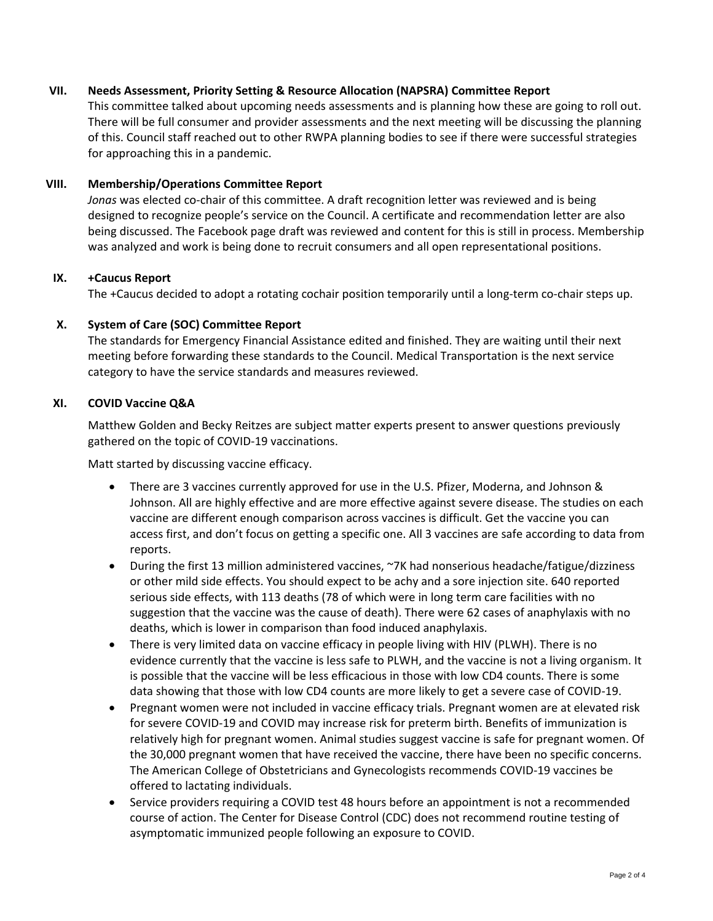#### **VII. Needs Assessment, Priority Setting & Resource Allocation (NAPSRA) Committee Report**

This committee talked about upcoming needs assessments and is planning how these are going to roll out. There will be full consumer and provider assessments and the next meeting will be discussing the planning of this. Council staff reached out to other RWPA planning bodies to see if there were successful strategies for approaching this in a pandemic.

#### **VIII. Membership/Operations Committee Report**

*Jonas* was elected co-chair of this committee. A draft recognition letter was reviewed and is being designed to recognize people's service on the Council. A certificate and recommendation letter are also being discussed. The Facebook page draft was reviewed and content for this is still in process. Membership was analyzed and work is being done to recruit consumers and all open representational positions.

#### **IX. +Caucus Report**

The +Caucus decided to adopt a rotating cochair position temporarily until a long-term co-chair steps up.

#### **X. System of Care (SOC) Committee Report**

The standards for Emergency Financial Assistance edited and finished. They are waiting until their next meeting before forwarding these standards to the Council. Medical Transportation is the next service category to have the service standards and measures reviewed.

#### **XI. COVID Vaccine Q&A**

Matthew Golden and Becky Reitzes are subject matter experts present to answer questions previously gathered on the topic of COVID-19 vaccinations.

Matt started by discussing vaccine efficacy.

- There are 3 vaccines currently approved for use in the U.S. Pfizer, Moderna, and Johnson & Johnson. All are highly effective and are more effective against severe disease. The studies on each vaccine are different enough comparison across vaccines is difficult. Get the vaccine you can access first, and don't focus on getting a specific one. All 3 vaccines are safe according to data from reports.
- During the first 13 million administered vaccines, ~7K had nonserious headache/fatigue/dizziness or other mild side effects. You should expect to be achy and a sore injection site. 640 reported serious side effects, with 113 deaths (78 of which were in long term care facilities with no suggestion that the vaccine was the cause of death). There were 62 cases of anaphylaxis with no deaths, which is lower in comparison than food induced anaphylaxis.
- There is very limited data on vaccine efficacy in people living with HIV (PLWH). There is no evidence currently that the vaccine is less safe to PLWH, and the vaccine is not a living organism. It is possible that the vaccine will be less efficacious in those with low CD4 counts. There is some data showing that those with low CD4 counts are more likely to get a severe case of COVID-19.
- Pregnant women were not included in vaccine efficacy trials. Pregnant women are at elevated risk for severe COVID-19 and COVID may increase risk for preterm birth. Benefits of immunization is relatively high for pregnant women. Animal studies suggest vaccine is safe for pregnant women. Of the 30,000 pregnant women that have received the vaccine, there have been no specific concerns. The American College of Obstetricians and Gynecologists recommends COVID-19 vaccines be offered to lactating individuals.
- Service providers requiring a COVID test 48 hours before an appointment is not a recommended course of action. The Center for Disease Control (CDC) does not recommend routine testing of asymptomatic immunized people following an exposure to COVID.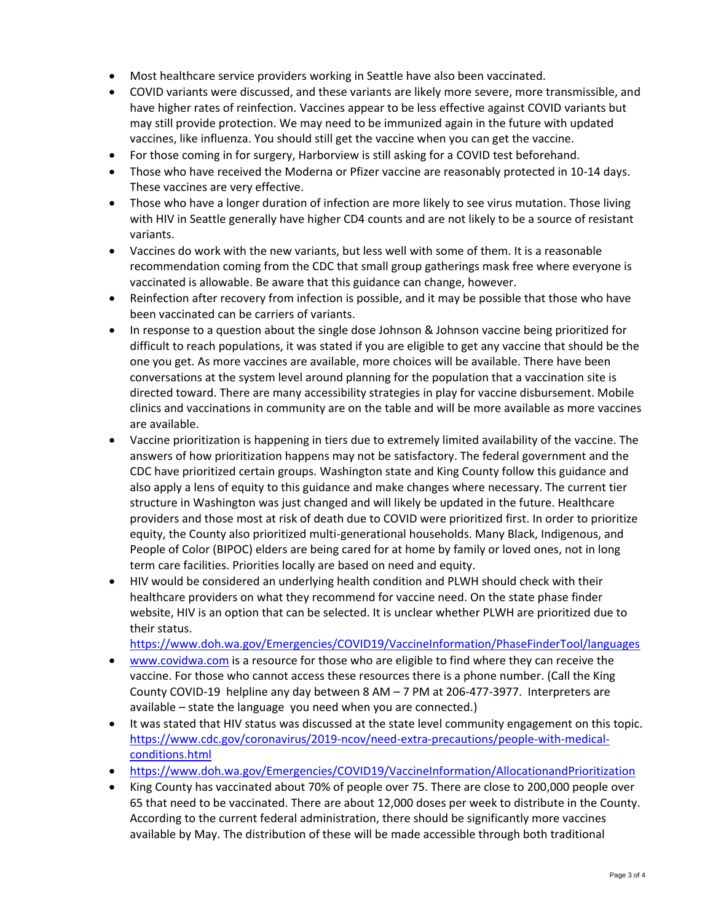- Most healthcare service providers working in Seattle have also been vaccinated.
- COVID variants were discussed, and these variants are likely more severe, more transmissible, and have higher rates of reinfection. Vaccines appear to be less effective against COVID variants but may still provide protection. We may need to be immunized again in the future with updated vaccines, like influenza. You should still get the vaccine when you can get the vaccine.
- For those coming in for surgery, Harborview is still asking for a COVID test beforehand.
- Those who have received the Moderna or Pfizer vaccine are reasonably protected in 10-14 days. These vaccines are very effective.
- Those who have a longer duration of infection are more likely to see virus mutation. Those living with HIV in Seattle generally have higher CD4 counts and are not likely to be a source of resistant variants.
- Vaccines do work with the new variants, but less well with some of them. It is a reasonable recommendation coming from the CDC that small group gatherings mask free where everyone is vaccinated is allowable. Be aware that this guidance can change, however.
- Reinfection after recovery from infection is possible, and it may be possible that those who have been vaccinated can be carriers of variants.
- In response to a question about the single dose Johnson & Johnson vaccine being prioritized for difficult to reach populations, it was stated if you are eligible to get any vaccine that should be the one you get. As more vaccines are available, more choices will be available. There have been conversations at the system level around planning for the population that a vaccination site is directed toward. There are many accessibility strategies in play for vaccine disbursement. Mobile clinics and vaccinations in community are on the table and will be more available as more vaccines are available.
- Vaccine prioritization is happening in tiers due to extremely limited availability of the vaccine. The answers of how prioritization happens may not be satisfactory. The federal government and the CDC have prioritized certain groups. Washington state and King County follow this guidance and also apply a lens of equity to this guidance and make changes where necessary. The current tier structure in Washington was just changed and will likely be updated in the future. Healthcare providers and those most at risk of death due to COVID were prioritized first. In order to prioritize equity, the County also prioritized multi-generational households. Many Black, Indigenous, and People of Color (BIPOC) elders are being cared for at home by family or loved ones, not in long term care facilities. Priorities locally are based on need and equity.
- HIV would be considered an underlying health condition and PLWH should check with their healthcare providers on what they recommend for vaccine need. On the state phase finder website, HIV is an option that can be selected. It is unclear whether PLWH are prioritized due to their status.

<https://www.doh.wa.gov/Emergencies/COVID19/VaccineInformation/PhaseFinderTool/languages>

- [www.covidwa.com](http://www.covidwa.com/) is a resource for those who are eligible to find where they can receive the vaccine. For those who cannot access these resources there is a phone number. (Call the King County COVID-19 helpline any day between 8 AM – 7 PM at 206-477-3977. Interpreters are available – state the language you need when you are connected.)
- It was stated that HIV status was discussed at the state level community engagement on this topic. [https://www.cdc.gov/coronavirus/2019-ncov/need-extra-precautions/people-with-medical](https://www.cdc.gov/coronavirus/2019-ncov/need-extra-precautions/people-with-medical-conditions.html)[conditions.html](https://www.cdc.gov/coronavirus/2019-ncov/need-extra-precautions/people-with-medical-conditions.html)
- <https://www.doh.wa.gov/Emergencies/COVID19/VaccineInformation/AllocationandPrioritization>
- King County has vaccinated about 70% of people over 75. There are close to 200,000 people over 65 that need to be vaccinated. There are about 12,000 doses per week to distribute in the County. According to the current federal administration, there should be significantly more vaccines available by May. The distribution of these will be made accessible through both traditional